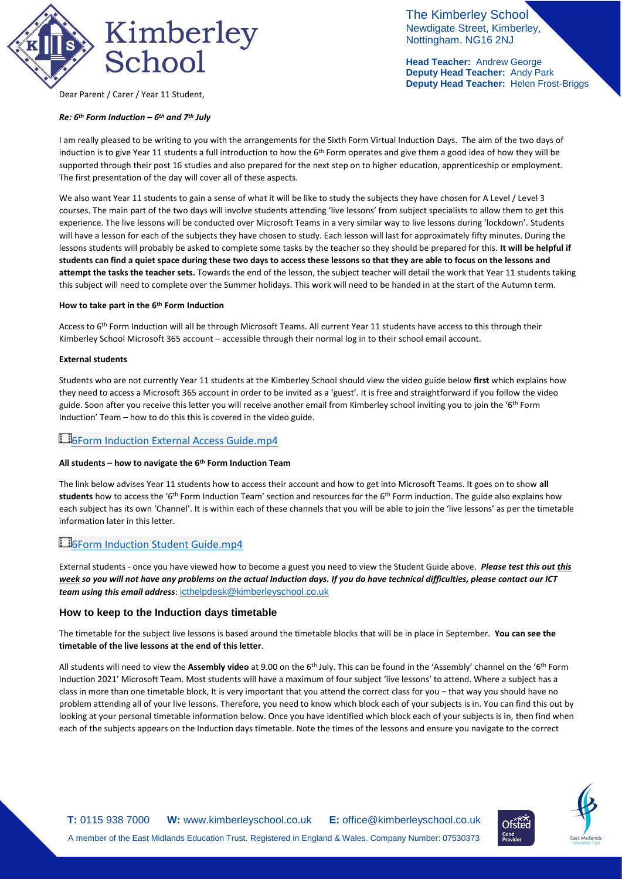

The Kimberley School Newdigate Street, Kimberley, Nottingham. NG16 2NJ

**Head Teacher:** Andrew George **Deputy Head Teacher:** Andy Park **Deputy Head Teacher:** Helen Frost-Briggs

Dear Parent / Carer / Year 11 Student,

#### *Re: 6th Form Induction – 6 th and 7th July*

I am really pleased to be writing to you with the arrangements for the Sixth Form Virtual Induction Days. The aim of the two days of induction is to give Year 11 students a full introduction to how the  $6<sup>th</sup>$  Form operates and give them a good idea of how they will be supported through their post 16 studies and also prepared for the next step on to higher education, apprenticeship or employment. The first presentation of the day will cover all of these aspects.

We also want Year 11 students to gain a sense of what it will be like to study the subjects they have chosen for A Level / Level 3 courses. The main part of the two days will involve students attending 'live lessons' from subject specialists to allow them to get this experience. The live lessons will be conducted over Microsoft Teams in a very similar way to live lessons during 'lockdown'. Students will have a lesson for each of the subjects they have chosen to study. Each lesson will last for approximately fifty minutes. During the lessons students will probably be asked to complete some tasks by the teacher so they should be prepared for this. **It will be helpful if students can find a quiet space during these two days to access these lessons so that they are able to focus on the lessons and attempt the tasks the teacher sets.** Towards the end of the lesson, the subject teacher will detail the work that Year 11 students taking this subject will need to complete over the Summer holidays. This work will need to be handed in at the start of the Autumn term.

#### **How to take part in the 6th Form Induction**

Access to 6<sup>th</sup> Form Induction will all be through Microsoft Teams. All current Year 11 students have access to this through their Kimberley School Microsoft 365 account – accessible through their normal log in to their school email account.

#### **External students**

Students who are not currently Year 11 students at the Kimberley School should view the video guide below **first** which explains how they need to access a Microsoft 365 account in order to be invited as a 'guest'. It is free and straightforward if you follow the video guide. Soon after you receive this letter you will receive another email from Kimberley school inviting you to join the '6<sup>th</sup> Form Induction' Team – how to do this this is covered in the video guide.

## **EGForm Induction External Access Guide.mp4**

#### **All students – how to navigate the 6th Form Induction Team**

The link below advises Year 11 students how to access their account and how to get into Microsoft Teams. It goes on to show **all**  students how to access the '6<sup>th</sup> Form Induction Team' section and resources for the 6<sup>th</sup> Form induction. The guide also explains how each subject has its own 'Channel'. It is within each of these channels that you will be able to join the 'live lessons' as per the timetable information later in this letter.

# El<sub>6Form</sub> Induction Student Guide.mp4

External students - once you have viewed how to become a guest you need to view the Student Guide above. *Please test this out this week so you will not have any problems on the actual Induction days. If you do have technical difficulties, please contact our ICT team using this email address*: [icthelpdesk@kimberleyschool.co.uk](mailto:icthelpdesk@kimberleyschool.co.uk)

#### **How to keep to the Induction days timetable**

The timetable for the subject live lessons is based around the timetable blocks that will be in place in September. **You can see the timetable of the live lessons at the end of this letter**.

All students will need to view the **Assembly video** at 9.00 on the 6th July. This can be found in the 'Assembly' channel on the '6th Form Induction 2021' Microsoft Team. Most students will have a maximum of four subject 'live lessons' to attend. Where a subject has a class in more than one timetable block, It is very important that you attend the correct class for you – that way you should have no problem attending all of your live lessons. Therefore, you need to know which block each of your subjects is in. You can find this out by looking at your personal timetable information below. Once you have identified which block each of your subjects is in, then find when each of the subjects appears on the Induction days timetable. Note the times of the lessons and ensure you navigate to the correct



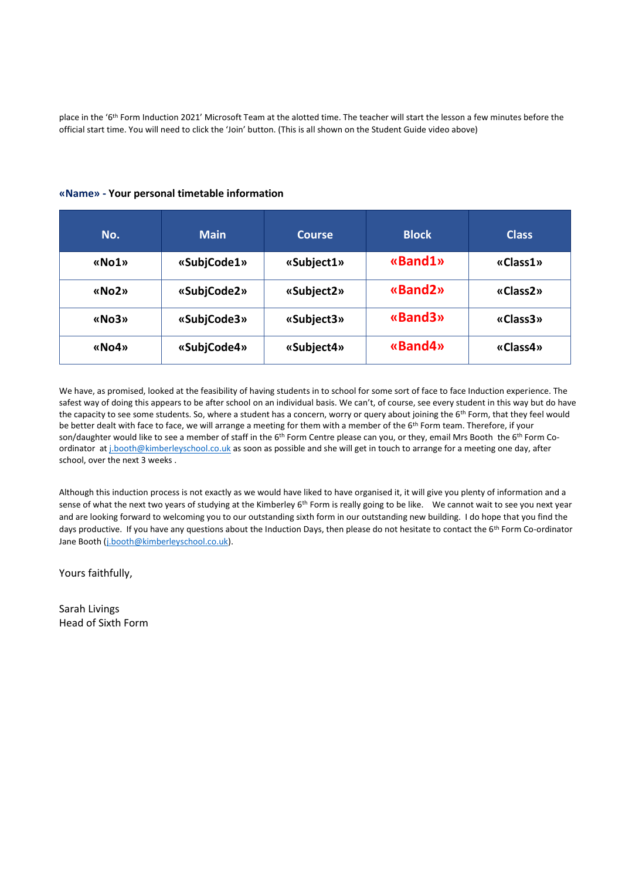place in the '6<sup>th</sup> Form Induction 2021' Microsoft Team at the alotted time. The teacher will start the lesson a few minutes before the official start time. You will need to click the 'Join' button. (This is all shown on the Student Guide video above)

### **«Name» - Your personal timetable information**

| No.   | <b>Main</b> | <b>Block</b><br>Course |         | <b>Class</b> |
|-------|-------------|------------------------|---------|--------------|
| «No1» | «SubjCode1» | «Subject1»             | «Band1» | «Class1»     |
| «No2» | «SubjCode2» | «Subject2»             | «Band2» | «Class2»     |
| «No3» | «SubjCode3» | «Subject3»             | «Band3» | «Class3»     |
| «No4» | «SubjCode4» | «Subject4»             | «Band4» | «Class4»     |

We have, as promised, looked at the feasibility of having students in to school for some sort of face to face Induction experience. The safest way of doing this appears to be after school on an individual basis. We can't, of course, see every student in this way but do have the capacity to see some students. So, where a student has a concern, worry or query about joining the 6<sup>th</sup> Form, that they feel would be better dealt with face to face, we will arrange a meeting for them with a member of the 6<sup>th</sup> Form team. Therefore, if your son/daughter would like to see a member of staff in the 6<sup>th</sup> Form Centre please can you, or they, email Mrs Booth the 6<sup>th</sup> Form Coordinator a[t j.booth@kimberleyschool.co.uk](mailto:j.booth@kimberleyschool.co.uk) as soon as possible and she will get in touch to arrange for a meeting one day, after school, over the next 3 weeks .

Although this induction process is not exactly as we would have liked to have organised it, it will give you plenty of information and a sense of what the next two years of studying at the Kimberley 6<sup>th</sup> Form is really going to be like. We cannot wait to see you next year and are looking forward to welcoming you to our outstanding sixth form in our outstanding new building. I do hope that you find the days productive. If you have any questions about the Induction Days, then please do not hesitate to contact the 6<sup>th</sup> Form Co-ordinator Jane Booth [\(j.booth@kimberleyschool.co.uk\)](mailto:j.booth@kimberleyschool.co.uk).

Yours faithfully,

Sarah Livings Head of Sixth Form